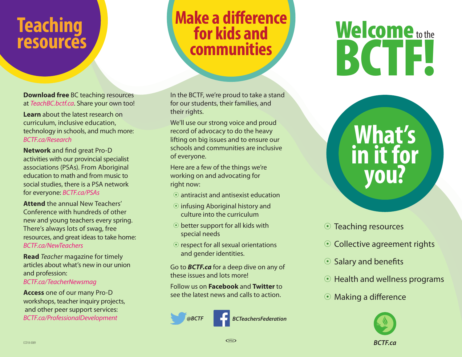#### **Teaching resources**

**Download free** BC teaching resources at *TeachBC.bctf.ca*. Share your own too!

**Learn** about the latest research on curriculum, inclusive education, technology in schools, and much more: *BCTF.ca/Research*

**Network** and find great Pro-D activities with our provincial specialist associations (PSAs). From Aboriginal education to math and from music to social studies, there is a PSA network for everyone: *BCTF.ca/PSAs*

**Attend** the annual New Teachers' Conference with hundreds of other new and young teachers every spring. There's always lots of swag, free resources, and great ideas to take home: *BCTF.ca/NewTeachers*

**Read** *Teacher* magazine for timely articles about what's new in our union and profession: *BCTF.ca/TeacherNewsmag*

**Access** one of our many Pro-D workshops, teacher inquiry projects, and other peer support services: *BCTF.ca/ProfessionalDevelopment*

#### **Make a difference for kids and communities**

In the BCTF, we're proud to take a stand for our students, their families, and their rights.

We'll use our strong voice and proud record of advocacy to do the heavy lifting on big issues and to ensure our schools and communities are inclusive of everyone.

Here are a few of the things we're working on and advocating for right now:

- $\odot$  antiracist and antisexist education
- $\odot$  infusing Aboriginal history and culture into the curriculum
- $\odot$  better support for all kids with special needs
- $\odot$  respect for all sexual orientations and gender identities.

Go to *BCTF.ca* for a deep dive on any of these issues and lots more!

Follow us on **Facebook** and **Twitter** to see the latest news and calls to action.





# Welcome to the **BCTF!**

**What's** 

**in it for** 

**you?**

#### **⊙ Teaching resources**

- Collective agreement rights
- $\odot$  Salary and benefits
- Health and wellness programs
- Making a difference